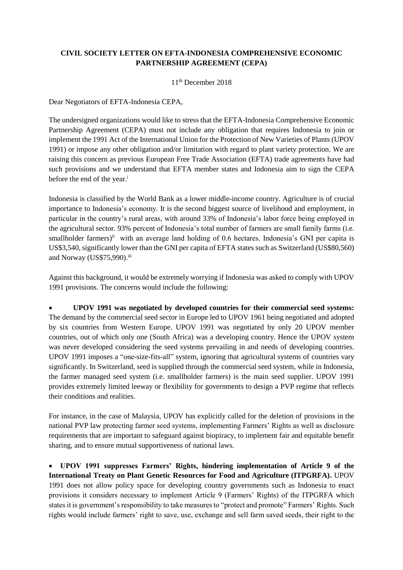## **CIVIL SOCIETY LETTER ON EFTA-INDONESIA COMPREHENSIVE ECONOMIC PARTNERSHIP AGREEMENT (CEPA)**

11 th December 2018

Dear Negotiators of EFTA-Indonesia CEPA,

The undersigned organizations would like to stress that the EFTA-Indonesia Comprehensive Economic Partnership Agreement (CEPA) must not include any obligation that requires Indonesia to join or implement the 1991 Act of the International Union for the Protection of New Varieties of Plants (UPOV 1991) or impose any other obligation and/or limitation with regard to plant variety protection. We are raising this concern as previous European Free Trade Association (EFTA) trade agreements have had such provisions and we understand that EFTA member states and Indonesia aim to sign the CEPA before the end of the year. i

Indonesia is classified by the World Bank as a lower middle-income country. Agriculture is of crucial importance to Indonesia's economy. It is the second biggest source of livelihood and employment, in particular in the country's rural areas, with around 33% of Indonesia's labor force being employed in the agricultural sector. 93% percent of Indonesia's total number of farmers are small family farms (i.e. smallholder farmers)<sup>ii</sup> with an average land holding of 0.6 hectares. Indonesia's GNI per capita is US\$3,540, significantly lower than the GNI per capita of EFTA states such as Switzerland (US\$80,560) and Norway (US\$75,990).iii

Against this background, it would be extremely worrying if Indonesia was asked to comply with UPOV 1991 provisions. The concerns would include the following:

 **UPOV 1991 was negotiated by developed countries for their commercial seed systems:**  The demand by the commercial seed sector in Europe led to UPOV 1961 being negotiated and adopted by six countries from Western Europe. UPOV 1991 was negotiated by only 20 UPOV member countries, out of which only one (South Africa) was a developing country. Hence the UPOV system was never developed considering the seed systems prevailing in and needs of developing countries. UPOV 1991 imposes a "one-size-fits-all" system, ignoring that agricultural systems of countries vary significantly. In Switzerland, seed is supplied through the commercial seed system, while in Indonesia, the farmer managed seed system (i.e. smallholder farmers) is the main seed supplier. UPOV 1991 provides extremely limited leeway or flexibility for governments to design a PVP regime that reflects their conditions and realities.

For instance, in the case of Malaysia, UPOV has explicitly called for the deletion of provisions in the national PVP law protecting farmer seed systems, implementing Farmers' Rights as well as disclosure requirements that are important to safeguard against biopiracy, to implement fair and equitable benefit sharing, and to ensure mutual supportiveness of national laws.

 **UPOV 1991 suppresses Farmers' Rights, hindering implementation of Article 9 of the International Treaty on Plant Genetic Resources for Food and Agriculture (ITPGRFA).** UPOV 1991 does not allow policy space for developing country governments such as Indonesia to enact provisions it considers necessary to implement Article 9 (Farmers' Rights) of the ITPGRFA which states it is government's responsibility to take measures to "protect and promote" Farmers' Rights. Such rights would include farmers' right to save, use, exchange and sell farm saved seeds, their right to the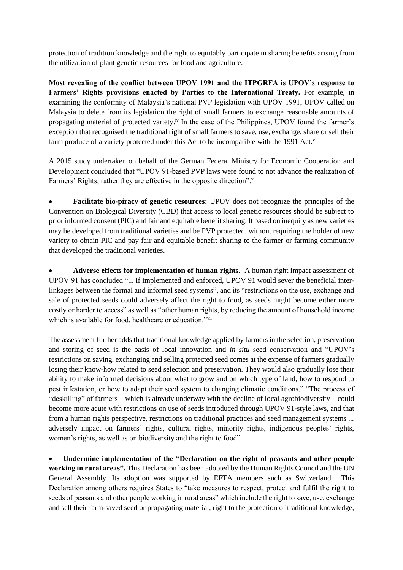protection of tradition knowledge and the right to equitably participate in sharing benefits arising from the utilization of plant genetic resources for food and agriculture.

**Most revealing of the conflict between UPOV 1991 and the ITPGRFA is UPOV's response to**  Farmers' Rights provisions enacted by Parties to the International Treaty. For example, in examining the conformity of Malaysia's national PVP legislation with UPOV 1991, UPOV called on Malaysia to delete from its legislation the right of small farmers to exchange reasonable amounts of propagating material of protected variety.<sup>iv</sup> In the case of the Philippines, UPOV found the farmer's exception that recognised the traditional right of small farmers to save, use, exchange, share or sell their farm produce of a variety protected under this Act to be incompatible with the 1991 Act.<sup>v</sup>

A 2015 study undertaken on behalf of the German Federal Ministry for Economic Cooperation and Development concluded that "UPOV 91-based PVP laws were found to not advance the realization of Farmers' Rights; rather they are effective in the opposite direction".<sup>vi</sup>

 **Facilitate bio-piracy of genetic resources:** UPOV does not recognize the principles of the Convention on Biological Diversity (CBD) that access to local genetic resources should be subject to prior informed consent (PIC) and fair and equitable benefit sharing. It based on inequity as new varieties may be developed from traditional varieties and be PVP protected, without requiring the holder of new variety to obtain PIC and pay fair and equitable benefit sharing to the farmer or farming community that developed the traditional varieties.

 **Adverse effects for implementation of human rights.** A human right impact assessment of UPOV 91 has concluded "... if implemented and enforced, UPOV 91 would sever the beneficial interlinkages between the formal and informal seed systems", and its "restrictions on the use, exchange and sale of protected seeds could adversely affect the right to food, as seeds might become either more costly or harder to access" as well as "other human rights, by reducing the amount of household income which is available for food, healthcare or education."vii

The assessment further adds that traditional knowledge applied by farmers in the selection, preservation and storing of seed is the basis of local innovation and *in situ* seed conservation and "UPOV's restrictions on saving, exchanging and selling protected seed comes at the expense of farmers gradually losing their know-how related to seed selection and preservation. They would also gradually lose their ability to make informed decisions about what to grow and on which type of land, how to respond to pest infestation, or how to adapt their seed system to changing climatic conditions." "The process of "deskilling" of farmers – which is already underway with the decline of local agrobiodiversity – could become more acute with restrictions on use of seeds introduced through UPOV 91-style laws, and that from a human rights perspective, restrictions on traditional practices and seed management systems ... adversely impact on farmers' rights, cultural rights, minority rights, indigenous peoples' rights, women's rights, as well as on biodiversity and the right to food".

 **Undermine implementation of the "Declaration on the right of peasants and other people working in rural areas".** This Declaration has been adopted by the Human Rights Council and the UN General Assembly. Its adoption was supported by EFTA members such as Switzerland. This Declaration among others requires States to "take measures to respect, protect and fulfil the right to seeds of peasants and other people working in rural areas" which include the right to save, use, exchange and sell their farm-saved seed or propagating material, right to the protection of traditional knowledge,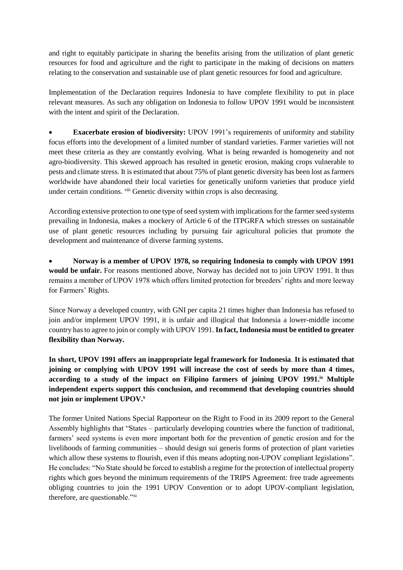and right to equitably participate in sharing the benefits arising from the utilization of plant genetic resources for food and agriculture and the right to participate in the making of decisions on matters relating to the conservation and sustainable use of plant genetic resources for food and agriculture.

Implementation of the Declaration requires Indonesia to have complete flexibility to put in place relevant measures. As such any obligation on Indonesia to follow UPOV 1991 would be inconsistent with the intent and spirit of the Declaration.

**Exacerbate erosion of biodiversity:** UPOV 1991's requirements of uniformity and stability focus efforts into the development of a limited number of standard varieties. Farmer varieties will not meet these criteria as they are constantly evolving. What is being rewarded is homogeneity and not agro-biodiversity. This skewed approach has resulted in genetic erosion, making crops vulnerable to pests and climate stress. It is estimated that about 75% of plant genetic diversity has been lost as farmers worldwide have abandoned their local varieties for genetically uniform varieties that produce yield under certain conditions. <sup>viii</sup> Genetic diversity within crops is also decreasing.

According extensive protection to one type of seed system with implications for the farmer seed systems prevailing in Indonesia, makes a mockery of Article 6 of the ITPGRFA which stresses on sustainable use of plant genetic resources including by pursuing fair agricultural policies that promote the development and maintenance of diverse farming systems.

 **Norway is a member of UPOV 1978, so requiring Indonesia to comply with UPOV 1991 would be unfair.** For reasons mentioned above, Norway has decided not to join UPOV 1991. It thus remains a member of UPOV 1978 which offers limited protection for breeders' rights and more leeway for Farmers' Rights.

Since Norway a developed country, with GNI per capita 21 times higher than Indonesia has refused to join and/or implement UPOV 1991, it is unfair and illogical that Indonesia a lower-middle income country hasto agree to join or comply with UPOV 1991. **In fact, Indonesia must be entitled to greater flexibility than Norway.** 

**In short, UPOV 1991 offers an inappropriate legal framework for Indonesia**. **It is estimated that joining or complying with UPOV 1991 will increase the cost of seeds by more than 4 times, according to a study of the impact on Filipino farmers of joining UPOV 1991. ix Multiple independent experts support this conclusion, and recommend that developing countries should not join or implement UPOV.<sup>x</sup>**

The former United Nations Special Rapporteur on the Right to Food in its 2009 report to the General Assembly highlights that "States – particularly developing countries where the function of traditional, farmers' seed systems is even more important both for the prevention of genetic erosion and for the livelihoods of farming communities – should design sui generis forms of protection of plant varieties which allow these systems to flourish, even if this means adopting non-UPOV compliant legislations". He concludes: "No State should be forced to establish a regime for the protection of intellectual property rights which goes beyond the minimum requirements of the TRIPS Agreement: free trade agreements obliging countries to join the 1991 UPOV Convention or to adopt UPOV-compliant legislation, therefore, are questionable."xi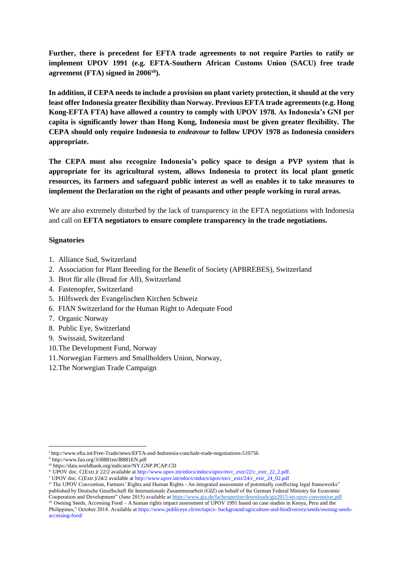**Further, there is precedent for EFTA trade agreements to not require Parties to ratify or implement UPOV 1991 (e.g. EFTA-Southern African Customs Union (SACU) free trade agreement (FTA) signed in 2006xii).** 

**In addition, if CEPA needs to include a provision on plant variety protection, it should at the very least offer Indonesia greater flexibility than Norway. Previous EFTA trade agreements (e.g. Hong Kong-EFTA FTA) have allowed a country to comply with UPOV 1978. As Indonesia's GNI per capita is significantly lower than Hong Kong, Indonesia must be given greater flexibility. The CEPA should only require Indonesia to** *endeavour* **to follow UPOV 1978 as Indonesia considers appropriate.** 

**The CEPA must also recognize Indonesia's policy space to design a PVP system that is appropriate for its agricultural system, allows Indonesia to protect its local plant genetic resources, its farmers and safeguard public interest as well as enables it to take measures to implement the Declaration on the right of peasants and other people working in rural areas.**

We are also extremely disturbed by the lack of transparency in the EFTA negotiations with Indonesia and call on **EFTA negotiators to ensure complete transparency in the trade negotiations.** 

## **Signatories**

- 1. Alliance Sud, Switzerland
- 2. Association for Plant Breeding for the Benefit of Society (APBREBES), Switzerland
- 3. Brot für alle (Bread for All), Switzerland
- 4. Fastenopfer, Switzerland
- 5. Hilfswerk der Evangelischen Kirchen Schweiz
- 6. FIAN Switzerland for the Human Right to Adequate Food
- 7. Organic Norway
- 8. Public Eye, Switzerland
- 9. Swissaid, Switzerland
- 10.The Development Fund, Norway
- 11.Norwegian Farmers and Smallholders Union, Norway,
- 12.The Norwegian Trade Campaign

l

vi The UPOV Convention, Farmers' Rights and Human Rights - An integrated assessment of potentially conflicting legal frameworks" published by Deutsche Gesellschaft für Internationale Zusammenarbeit (GIZ) on behalf of the German Federal Ministry for Economic Cooperation and Development" (June 2015) available a[t https://www.giz.de/fachexpertise/downloads/giz2015-en-upov-convention.pdf](https://www.giz.de/fachexpertise/downloads/giz2015-en-upov-convention.pdf)

vii Owning Seeds, Accessing Food – A human rights impact assessment of UPOV 1991 based on case studies in Kenya, Peru and the Philippines," October 2014. Available at https://www.publiceye.ch/en/topics- background/agriculture-and-biodiversity/seeds/owning-seedsaccessing-food/

<sup>i</sup> http://www.efta.int/Free-Trade/news/EFTA-and-Indonesia-conclude-trade-negotiations-510756

ii http://www.fao.org/3/i8881en/I8881EN.pdf

iii https://data.worldbank.org/indicator/NY.GNP.PCAP.CD

iv UPOV doc. C(Extr.)/ 22/2 available at http://www.upov.int/edocs/mdocs/upov/en/c\_extr/22/c\_extr\_22\_2.pdf.

<sup>v</sup> UPOV doc. C(Extr.)/24/2 available at http://www.upov.int/edocs/mdocs/upov/en/c\_extr/24/c\_extr\_24\_02.pdf